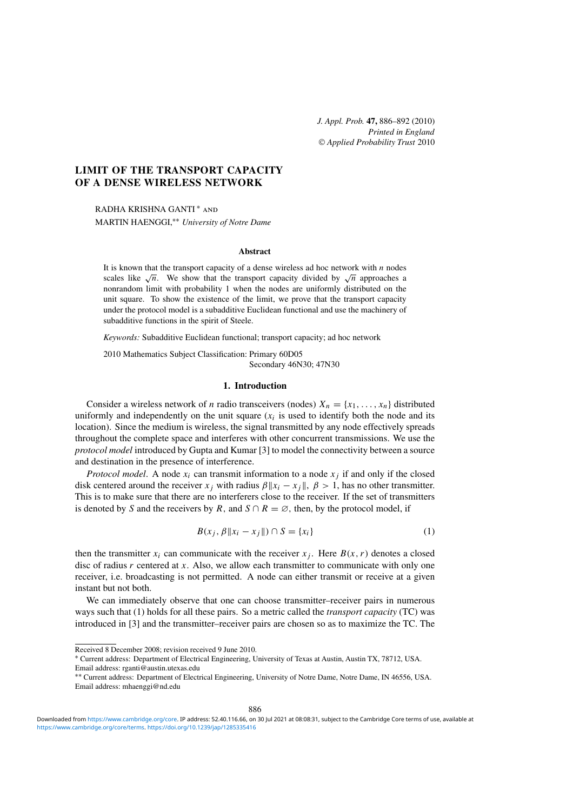*J. Appl. Prob.* **47,** 886–892 (2010) *Printed in England Applied Probability Trust* 2010

# **LIMIT OF THE TRANSPORT CAPACITY OF A DENSE WIRELESS NETWORK**

RADHA KRISHNA GANTI ∗ and MARTIN HAENGGI,∗∗ *University of Notre Dame*

### **Abstract**

It is known that the transport capacity of a dense wireless ad hoc network with  $n$  nodes scales like  $\sqrt{n}$ . We show that the transport capacity divided by  $\sqrt{n}$  approaches a nonrandom limit with probability 1 when the nodes are uniformly distributed on the unit square. To show the existence of the limit, we prove that the transport capacity under the protocol model is a subadditive Euclidean functional and use the machinery of subadditive functions in the spirit of Steele.

*Keywords:* Subadditive Euclidean functional; transport capacity; ad hoc network

2010 Mathematics Subject Classification: Primary 60D05 Secondary 46N30; 47N30

## **1. Introduction**

Consider a wireless network of *n* radio transceivers (nodes)  $X_n = \{x_1, \ldots, x_n\}$  distributed uniformly and independently on the unit square  $(x<sub>i</sub>$  is used to identify both the node and its location). Since the medium is wireless, the signal transmitted by any node effectively spreads throughout the complete space and interferes with other concurrent transmissions. We use the *protocol model* introduced by Gupta and Kumar [3] to model the connectivity between a source and destination in the presence of interference.

*Protocol model*. A node  $x_i$  can transmit information to a node  $x_i$  if and only if the closed disk centered around the receiver  $x_j$  with radius  $\beta ||x_i - x_j||$ ,  $\beta > 1$ , has no other transmitter. This is to make sure that there are no interferers close to the receiver. If the set of transmitters is denoted by S and the receivers by R, and  $S \cap R = \emptyset$ , then, by the protocol model, if

$$
B(x_j, \beta \|x_i - x_j\|) \cap S = \{x_i\}
$$
 (1)

then the transmitter  $x_i$  can communicate with the receiver  $x_j$ . Here  $B(x, r)$  denotes a closed disc of radius  $r$  centered at  $x$ . Also, we allow each transmitter to communicate with only one receiver, i.e. broadcasting is not permitted. A node can either transmit or receive at a given instant but not both.

We can immediately observe that one can choose transmitter–receiver pairs in numerous ways such that (1) holds for all these pairs. So a metric called the *transport capacity* (TC) was introduced in [3] and the transmitter–receiver pairs are chosen so as to maximize the TC. The

Received 8 December 2008; revision received 9 June 2010.

<sup>∗</sup> Current address: Department of Electrical Engineering, University of Texas at Austin, Austin TX, 78712, USA. Email address: rganti@austin.utexas.edu

<sup>∗∗</sup> Current address: Department of Electrical Engineering, University of Notre Dame, Notre Dame, IN 46556, USA. Email address: mhaenggi@nd.edu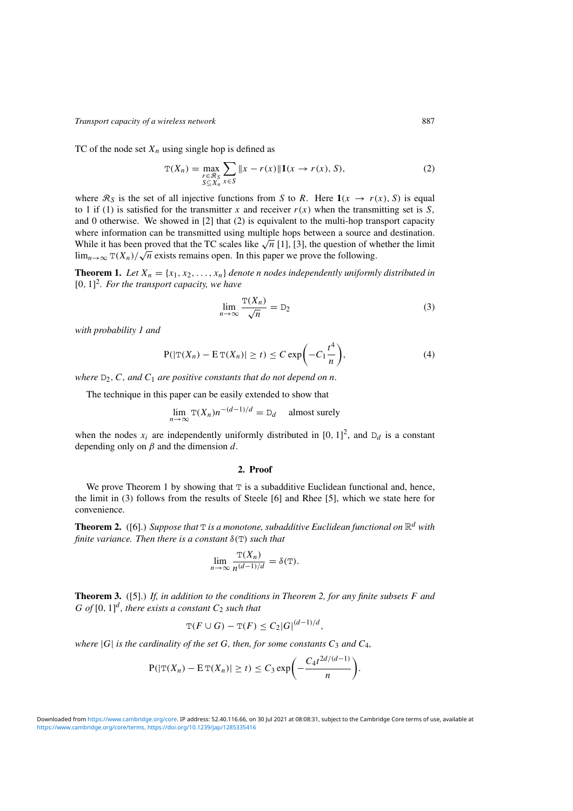TC of the node set  $X_n$  using single hop is defined as

$$
\mathcal{T}(X_n) = \max_{\substack{r \in \mathcal{R}_S \\ S \subseteq X_n}} \sum_{x \in S} ||x - r(x)|| \mathbf{1}(x \to r(x), S),
$$
\n(2)

where  $\mathcal{R}_S$  is the set of all injective functions from S to R. Here  $\mathbf{1}(x \to r(x), S)$  is equal to 1 if (1) is satisfied for the transmitter x and receiver  $r(x)$  when the transmitting set is S, and 0 otherwise. We showed in [2] that (2) is equivalent to the multi-hop transport capacity where information can be transmitted using multiple hops between a source and destination. While it has been proved that the TC scales like  $\sqrt{n}$  [1], [3], the question of whether the limit  $\lim_{n\to\infty}$  T(X<sub>n</sub>)/ $\sqrt{n}$  exists remains open. In this paper we prove the following.

**Theorem 1.** Let  $X_n = \{x_1, x_2, ..., x_n\}$  denote *n* nodes independently uniformly distributed in [0, 1] 2 *. For the transport capacity, we have*

$$
\lim_{n \to \infty} \frac{\mathcal{T}(X_n)}{\sqrt{n}} = \mathcal{D}_2 \tag{3}
$$

*with probability 1 and*

$$
P(|\mathbf{T}(X_n) - \mathbf{E}\mathbf{T}(X_n)| \ge t) \le C \exp\left(-C_1 \frac{t^4}{n}\right),\tag{4}
$$

*where*  $D_2$ , C, and  $C_1$  *are positive constants that do not depend on n.* 

The technique in this paper can be easily extended to show that

$$
\lim_{n \to \infty} \mathcal{T}(X_n) n^{-(d-1)/d} = \mathcal{D}_d \quad \text{almost surely}
$$

when the nodes  $x_i$  are independently uniformly distributed in [0, 1]<sup>2</sup>, and  $D_d$  is a constant depending only on  $\beta$  and the dimension d.

### **2. Proof**

We prove Theorem 1 by showing that  $T$  is a subadditive Euclidean functional and, hence, the limit in (3) follows from the results of Steele [6] and Rhee [5], which we state here for convenience.

**Theorem 2.** ([6].) Suppose that  $T$  is a monotone, subadditive Euclidean functional on  $\mathbb{R}^d$  with *finite variance. Then there is a constant* δ(T) *such that*

$$
\lim_{n \to \infty} \frac{\mathcal{T}(X_n)}{n^{(d-1)/d}} = \delta(\mathcal{T}).
$$

**Theorem 3.** ([5].) *If, in addition to the conditions in Theorem 2, for any finite subsets* F *and*  $G$  of  $[0, 1]^d$ , there exists a constant  $C_2$  such that

$$
\mathrm{T}(F\cup G)-\mathrm{T}(F)\leq C_2|G|^{(d-1)/d},
$$

*where*  $|G|$  *is the cardinality of the set*  $G$ *, then, for some constants*  $C_3$  *and*  $C_4$ *,* 

$$
P(|\mathbf{T}(X_n) - \mathbf{E}\mathbf{T}(X_n)| \ge t) \le C_3 \exp\left(-\frac{C_4 t^{2d/(d-1)}}{n}\right).
$$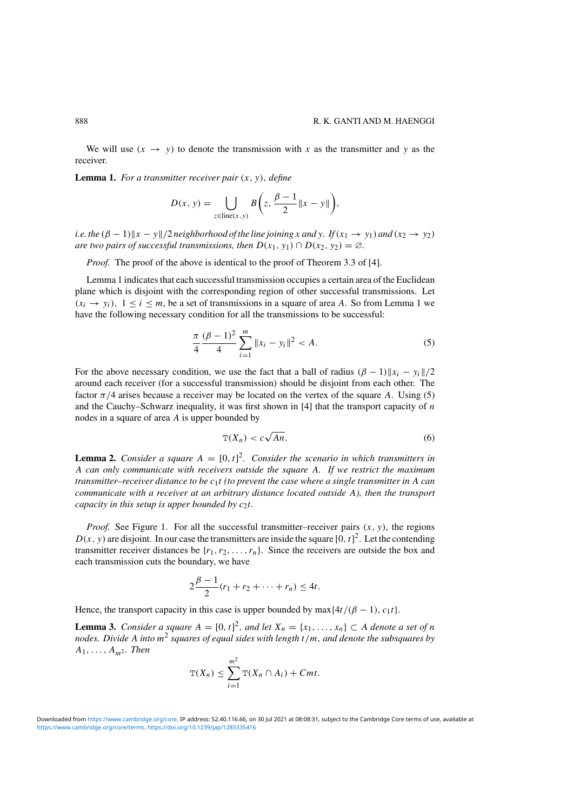We will use  $(x \to y)$  to denote the transmission with x as the transmitter and y as the receiver.

**Lemma 1.** *For a transmitter receiver pair* (x, y), *define*

$$
D(x, y) = \bigcup_{z \in line(x, y)} B\bigg(z, \frac{\beta - 1}{2} ||x - y||\bigg),
$$

*i.e.* the  $(\beta - 1) \|x - y\|/2$  *neighborhood of the line joining* x and y. If  $(x_1 \rightarrow y_1)$  and  $(x_2 \rightarrow y_2)$ *are two pairs of successful transmissions, then*  $D(x_1, y_1) \cap D(x_2, y_2) = \emptyset$ *.* 

*Proof.* The proof of the above is identical to the proof of Theorem 3.3 of [4].

Lemma 1 indicates that each successful transmission occupies a certain area of the Euclidean plane which is disjoint with the corresponding region of other successful transmissions. Let  $(x_i \rightarrow y_i)$ ,  $1 \le i \le m$ , be a set of transmissions in a square of area A. So from Lemma 1 we have the following necessary condition for all the transmissions to be successful:

$$
\frac{\pi}{4} \frac{(\beta - 1)^2}{4} \sum_{i=1}^{m} \|x_i - y_i\|^2 < A. \tag{5}
$$

For the above necessary condition, we use the fact that a ball of radius  $(\beta - 1)\Vert x_i - y_i \Vert/2$ around each receiver (for a successful transmission) should be disjoint from each other. The factor  $\pi/4$  arises because a receiver may be located on the vertex of the square A. Using (5) and the Cauchy–Schwarz inequality, it was first shown in  $[4]$  that the transport capacity of n nodes in a square of area A is upper bounded by

$$
\mathbb{T}(X_n) < c\sqrt{An}.\tag{6}
$$

**Lemma 2.** *Consider a square*  $A = [0, t]^2$ *. Consider the scenario in which transmitters in* A *can only communicate with receivers outside the square* A*. If we restrict the maximum transmitter–receiver distance to be* c1t *(to prevent the case where a single transmitter in* A *can communicate with a receiver at an arbitrary distance located outside* A*), then the transport capacity in this setup is upper bounded by c<sub>2</sub>t.* 

*Proof.* See Figure 1. For all the successful transmitter–receiver pairs  $(x, y)$ , the regions  $D(x, y)$  are disjoint. In our case the transmitters are inside the square [0, t]<sup>2</sup>. Let the contending transmitter receiver distances be  $\{r_1, r_2, \ldots, r_n\}$ . Since the receivers are outside the box and each transmission cuts the boundary, we have

$$
2\frac{\beta-1}{2}(r_1 + r_2 + \dots + r_n) \le 4t.
$$

Hence, the transport capacity in this case is upper bounded by max $\{4t/(\beta - 1), c_1t\}$ .

**Lemma 3.** *Consider a square*  $A = [0, t]^2$ *, and let*  $X_n = \{x_1, \ldots, x_n\} \subset A$  *denote a set of n nodes. Divide* A *into* m<sup>2</sup> *squares of equal sides with length* t/m, *and denote the subsquares by*  $A_1, \ldots, A_{m^2}$ *. Then* 

$$
\mathrm{T}(X_n) \leq \sum_{i=1}^{m^2} \mathrm{T}(X_n \cap A_i) + Cmt.
$$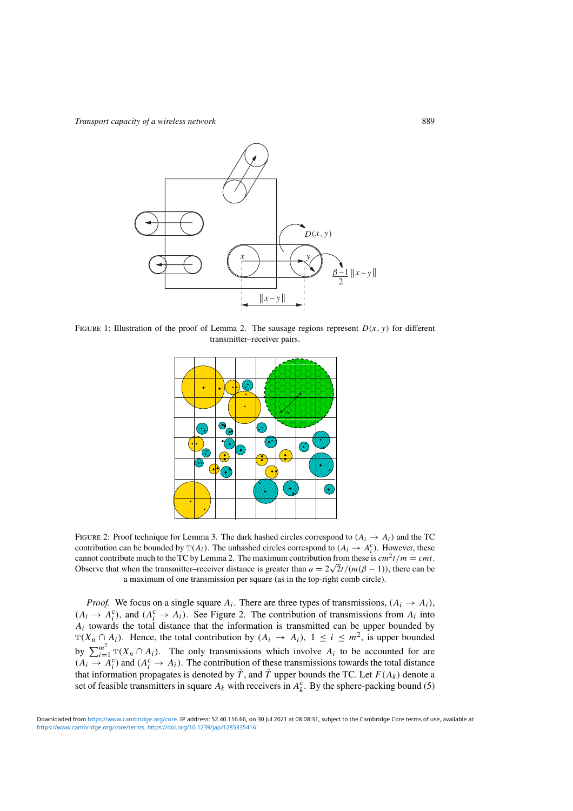

FIGURE 1: Illustration of the proof of Lemma 2. The sausage regions represent  $D(x, y)$  for different transmitter–receiver pairs.



FIGURE 2: Proof technique for Lemma 3. The dark hashed circles correspond to  $(A_i \rightarrow A_i)$  and the TC contribution can be bounded by  $T(A_i)$ . The unhashed circles correspond to  $(A_i \rightarrow A_i^c)$ . However, these cannot contribute much to the TC by Lemma 2. The maximum contribution from these is  $cm^2 t/m = cm t$ . Observe that when the transmitter–receiver distance is greater than  $a = 2\sqrt{2}t/(m(\beta - 1))$ , there can be a maximum of one transmission per square (as in the top-right comb circle).

*Proof.* We focus on a single square  $A_i$ . There are three types of transmissions,  $(A_i \rightarrow A_i)$ ,  $(A_i \rightarrow A_i^c)$ , and  $(A_i^c \rightarrow A_i)$ . See Figure 2. The contribution of transmissions from  $A_i$  into  $A_i$  towards the total distance that the information is transmitted can be upper bounded by  $T(X_n \cap A_i)$ . Hence, the total contribution by  $(A_i \to A_i)$ ,  $1 \le i \le m^2$ , is upper bounded by  $\sum_{i=1}^{m^2} T(X_i \cap A_i)$ . The only transmissions which involve  $A_i$  to be accounted for are  $(A_i \rightarrow A_i^c)$  and  $(A_i^c \rightarrow A_i)$ . The contribution of these transmissions towards the total distance that information propagates is denoted by  $\tilde{T}$ , and  $\tilde{T}$  upper bounds the TC. Let  $F(A_k)$  denote a set of feasible transmitters in square  $A_k$  with receivers in  $A_k^c$ . By the sphere-packing bound (5)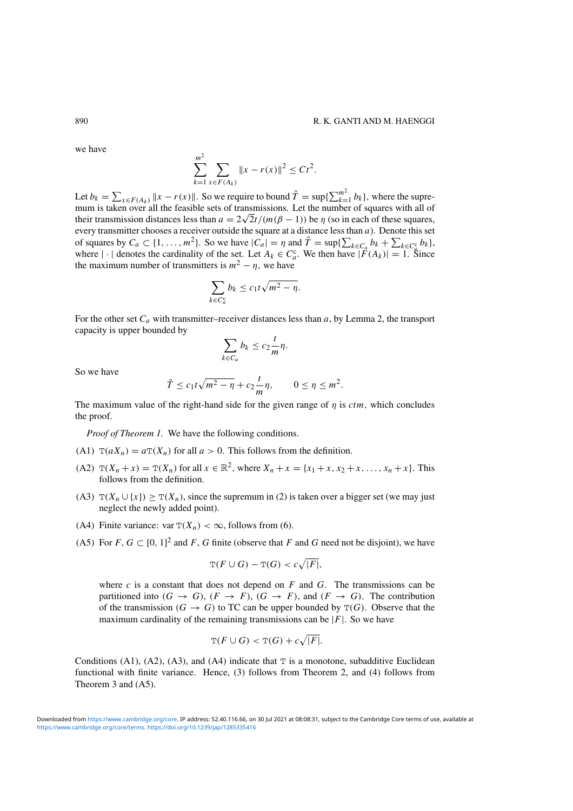we have

$$
\sum_{k=1}^{m^2} \sum_{x \in F(A_k)} \|x - r(x)\|^2 \le C t^2.
$$

Let  $b_k = \sum_{x \in F(A_k)} ||x - r(x)||$ . So we require to bound  $\tilde{T} = \sup\{\sum_{k=1}^{m^2} b_k\}$ , where the supremum is taken over all the feasible sets of transmissions. Let the number of squares with all of their transmission distances less than  $a = 2\sqrt{2t}/(m(\beta - 1))$  be  $\eta$  (so in each of these squares, every transmitter chooses a receiver outside the square at a distance less than  $a$ ). Denote this set of squares by  $C_a \subset \{1, \ldots, m^2\}$ . So we have  $|C_a| = \eta$  and  $\tilde{T} = \sup\{\sum_{k \in C_a} b_k + \sum_{k \in C_a^c} b_k\},\$ where  $|\cdot|$  denotes the cardinality of the set. Let  $A_k \in C_a^c$ . We then have  $|F(A_k)| = 1$ . Since the maximum number of transmitters is  $m^2 - \eta$ , we have

$$
\sum_{k \in C_a^c} b_k \leq c_1 t \sqrt{m^2 - \eta}.
$$

For the other set  $C_a$  with transmitter–receiver distances less than  $a$ , by Lemma 2, the transport capacity is upper bounded by

$$
\sum_{k\in C_a} b_k \leq c_2 \frac{t}{m} \eta.
$$

So we have

$$
\tilde{T} \le c_1 t \sqrt{m^2 - \eta} + c_2 \frac{t}{m} \eta, \qquad 0 \le \eta \le m^2.
$$

The maximum value of the right-hand side for the given range of  $\eta$  is *ctm*, which concludes the proof.

*Proof of Theorem 1.* We have the following conditions.

- (A1)  $T(aX_n) = aT(X_n)$  for all  $a > 0$ . This follows from the definition.
- (A2)  $T(X_n + x) = T(X_n)$  for all  $x \in \mathbb{R}^2$ , where  $X_n + x = \{x_1 + x, x_2 + x, ..., x_n + x\}$ . This follows from the definition.
- (A3)  $T(X_n \cup \{x\}) \geq T(X_n)$ , since the supremum in (2) is taken over a bigger set (we may just neglect the newly added point).
- (A4) Finite variance: var  $T(X_n) < \infty$ , follows from (6).
- (A5) For  $F, G \subset [0, 1]^2$  and  $F, G$  finite (observe that  $F$  and  $G$  need not be disjoint), we have

$$
\mathbb{T}(F \cup G) - \mathbb{T}(G) < c\sqrt{|F|},
$$

where  $c$  is a constant that does not depend on  $F$  and  $G$ . The transmissions can be partitioned into  $(G \rightarrow G)$ ,  $(F \rightarrow F)$ ,  $(G \rightarrow F)$ , and  $(F \rightarrow G)$ . The contribution of the transmission ( $G \to G$ ) to TC can be upper bounded by  $T(G)$ . Observe that the maximum cardinality of the remaining transmissions can be  $|F|$ . So we have

$$
\mathrm{T}(F \cup G) < \mathrm{T}(G) + c\sqrt{|F|}.
$$

Conditions (A1), (A2), (A3), and (A4) indicate that  $T$  is a monotone, subadditive Euclidean functional with finite variance. Hence, (3) follows from Theorem 2, and (4) follows from Theorem 3 and (A5).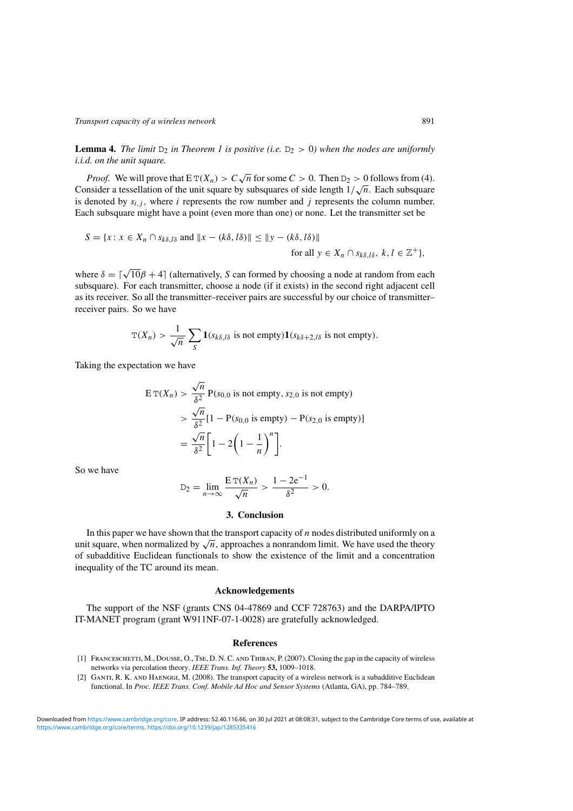**Lemma 4.** *The limit*  $D_2$  *in Theorem 1 is positive (i.e.*  $D_2 > 0$ *) when the nodes are uniformly i.i.d. on the unit square.*

*Proof.* We will prove that  $E T(X_n) > C \sqrt{n}$  for some  $C > 0$ . Then  $D_2 > 0$  follows from (4). Consider a tessellation of the unit square by subsquares of side length  $1/\sqrt{n}$ . Each subsquare is denoted by  $s_{i,j}$ , where i represents the row number and j represents the column number. Each subsquare might have a point (even more than one) or none. Let the transmitter set be

$$
S = \{x \colon x \in X_n \cap s_{k\delta, l\delta} \text{ and } ||x - (k\delta, l\delta)|| \le ||y - (k\delta, l\delta)||
$$
  
for all  $y \in X_n \cap s_{k\delta, l\delta}, k, l \in \mathbb{Z}^+\},$ 

where  $\delta = \lceil \sqrt{10} \beta + 4 \rceil$  (alternatively, S can formed by choosing a node at random from each subsquare). For each transmitter, choose a node (if it exists) in the second right adjacent cell as its receiver. So all the transmitter–receiver pairs are successful by our choice of transmitter– receiver pairs. So we have

$$
\mathbb{T}(X_n) > \frac{1}{\sqrt{n}} \sum_{S} \mathbf{1}(s_{k\delta,\ell\delta} \text{ is not empty}) \mathbf{1}(s_{k\delta+2,\ell\delta} \text{ is not empty}).
$$

Taking the expectation we have

$$
\begin{aligned} \mathcal{E} \, \mathcal{T}(X_n) &> \frac{\sqrt{n}}{\delta^2} \, \mathcal{P}(s_{0,0} \text{ is not empty, } s_{2,0} \text{ is not empty}) \\ &> \frac{\sqrt{n}}{\delta^2} [1 - \mathcal{P}(s_{0,0} \text{ is empty}) - \mathcal{P}(s_{2,0} \text{ is empty})] \\ &= \frac{\sqrt{n}}{\delta^2} \bigg[ 1 - 2 \bigg( 1 - \frac{1}{n} \bigg)^n \bigg]. \end{aligned}
$$

So we have

$$
D_2 = \lim_{n \to \infty} \frac{E T(X_n)}{\sqrt{n}} > \frac{1 - 2e^{-1}}{\delta^2} > 0.
$$

### **3. Conclusion**

In this paper we have shown that the transport capacity of  $n$  nodes distributed uniformly on a unit square, when normalized by  $\sqrt{n}$ , approaches a nonrandom limit. We have used the theory of subadditive Euclidean functionals to show the existence of the limit and a concentration inequality of the TC around its mean.

### **Acknowledgements**

The support of the NSF (grants CNS 04-47869 and CCF 728763) and the DARPA/IPTO IT-MANET program (grant W911NF-07-1-0028) are gratefully acknowledged.

#### **References**

- [1] Franceschetti, M., Dousse, O., Tse, D. N. C. and Thiran, P. (2007). Closing the gap in the capacity of wireless networks via percolation theory. *IEEE Trans. Inf. Theory* **53,** 1009–1018.
- [2] GANTI, R. K. AND HAENGGI, M. (2008). The transport capacity of a wireless network is a subadditive Euclidean functional. In *Proc. IEEE Trans. Conf. Mobile Ad Hoc and Sensor Systems* (Atlanta, GA), pp. 784–789.